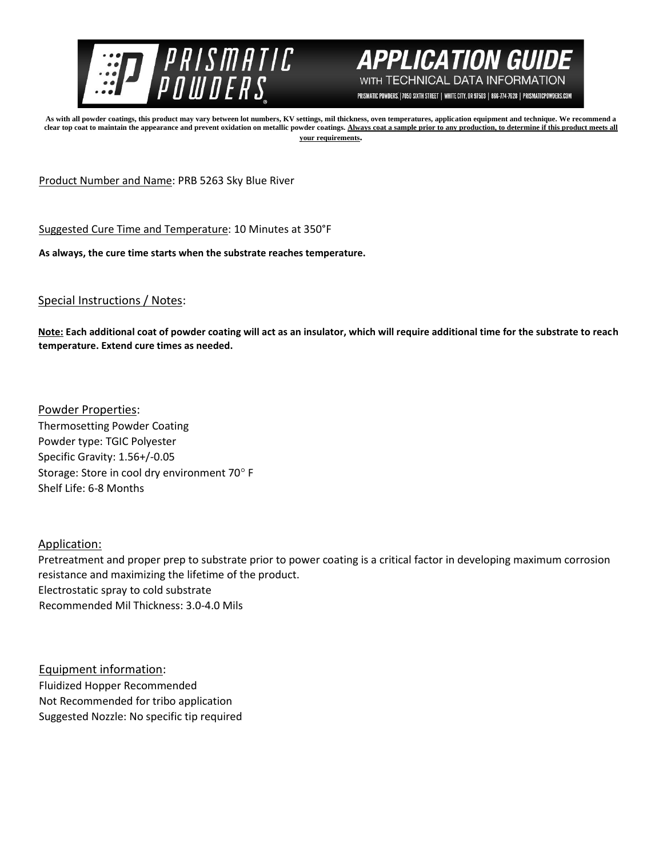



PRISMATIC POWDERS. | 7050 SIXTH STREET | WHITE CITY, OR 97503 | 866-774-7628 | PRISMATICPOWDERS.COM

**As with all powder coatings, this product may vary between lot numbers, KV settings, mil thickness, oven temperatures, application equipment and technique. We recommend a**  clear top coat to maintain the appearance and prevent oxidation on metallic powder coatings. Always coat a sample prior to any production, to determine if this product meets all **your requirements.** 

Product Number and Name: PRB 5263 Sky Blue River

Suggested Cure Time and Temperature: 10 Minutes at 350°F

**As always, the cure time starts when the substrate reaches temperature.**

## Special Instructions / Notes:

**Note: Each additional coat of powder coating will act as an insulator, which will require additional time for the substrate to reach temperature. Extend cure times as needed.** 

Powder Properties: Thermosetting Powder Coating Powder type: TGIC Polyester Specific Gravity: 1.56+/-0.05 Storage: Store in cool dry environment 70° F Shelf Life: 6-8 Months

## Application:

Pretreatment and proper prep to substrate prior to power coating is a critical factor in developing maximum corrosion resistance and maximizing the lifetime of the product. Electrostatic spray to cold substrate Recommended Mil Thickness: 3.0-4.0 Mils

Equipment information: Fluidized Hopper Recommended Not Recommended for tribo application Suggested Nozzle: No specific tip required